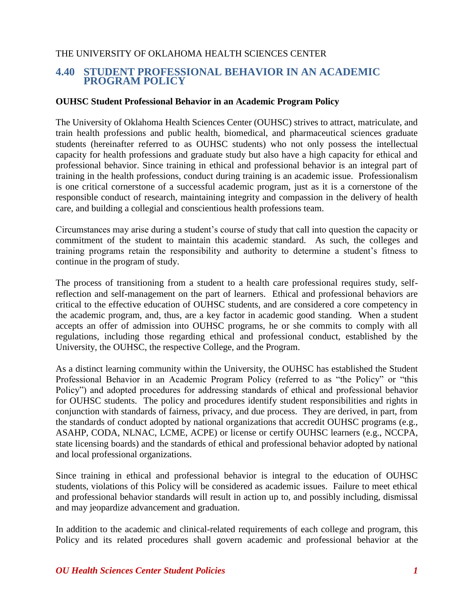## THE UNIVERSITY OF OKLAHOMA HEALTH SCIENCES CENTER

# **4.40 STUDENT PROFESSIONAL BEHAVIOR IN AN ACADEMIC PROGRAM POLICY**

#### **OUHSC Student Professional Behavior in an Academic Program Policy**

The University of Oklahoma Health Sciences Center (OUHSC) strives to attract, matriculate, and train health professions and public health, biomedical, and pharmaceutical sciences graduate students (hereinafter referred to as OUHSC students) who not only possess the intellectual capacity for health professions and graduate study but also have a high capacity for ethical and professional behavior. Since training in ethical and professional behavior is an integral part of training in the health professions, conduct during training is an academic issue. Professionalism is one critical cornerstone of a successful academic program, just as it is a cornerstone of the responsible conduct of research, maintaining integrity and compassion in the delivery of health care, and building a collegial and conscientious health professions team.

Circumstances may arise during a student's course of study that call into question the capacity or commitment of the student to maintain this academic standard. As such, the colleges and training programs retain the responsibility and authority to determine a student's fitness to continue in the program of study.

The process of transitioning from a student to a health care professional requires study, selfreflection and self-management on the part of learners. Ethical and professional behaviors are critical to the effective education of OUHSC students, and are considered a core competency in the academic program, and, thus, are a key factor in academic good standing. When a student accepts an offer of admission into OUHSC programs, he or she commits to comply with all regulations, including those regarding ethical and professional conduct, established by the University, the OUHSC, the respective College, and the Program.

As a distinct learning community within the University, the OUHSC has established the Student Professional Behavior in an Academic Program Policy (referred to as "the Policy" or "this Policy") and adopted procedures for addressing standards of ethical and professional behavior for OUHSC students. The policy and procedures identify student responsibilities and rights in conjunction with standards of fairness, privacy, and due process. They are derived, in part, from the standards of conduct adopted by national organizations that accredit OUHSC programs (e.g., ASAHP, CODA, NLNAC, LCME, ACPE) or license or certify OUHSC learners (e.g., NCCPA, state licensing boards) and the standards of ethical and professional behavior adopted by national and local professional organizations.

Since training in ethical and professional behavior is integral to the education of OUHSC students, violations of this Policy will be considered as academic issues. Failure to meet ethical and professional behavior standards will result in action up to, and possibly including, dismissal and may jeopardize advancement and graduation.

In addition to the academic and clinical-related requirements of each college and program, this Policy and its related procedures shall govern academic and professional behavior at the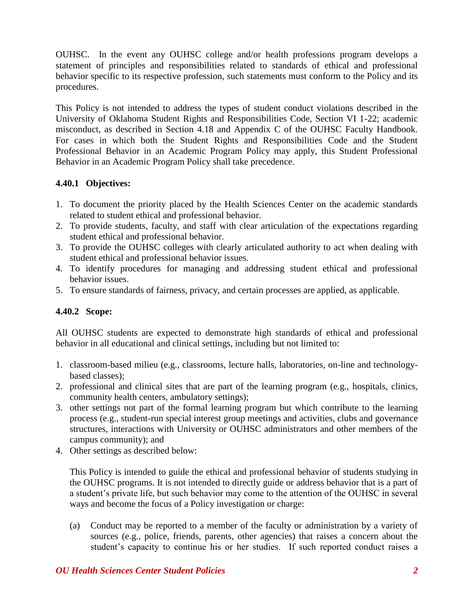OUHSC. In the event any OUHSC college and/or health professions program develops a statement of principles and responsibilities related to standards of ethical and professional behavior specific to its respective profession, such statements must conform to the Policy and its procedures.

This Policy is not intended to address the types of student conduct violations described in the University of Oklahoma Student Rights and Responsibilities Code, Section VI 1-22; academic misconduct, as described in Section 4.18 and Appendix C of the OUHSC Faculty Handbook. For cases in which both the Student Rights and Responsibilities Code and the Student Professional Behavior in an Academic Program Policy may apply, this Student Professional Behavior in an Academic Program Policy shall take precedence.

# **4.40.1 Objectives:**

- 1. To document the priority placed by the Health Sciences Center on the academic standards related to student ethical and professional behavior.
- 2. To provide students, faculty, and staff with clear articulation of the expectations regarding student ethical and professional behavior.
- 3. To provide the OUHSC colleges with clearly articulated authority to act when dealing with student ethical and professional behavior issues.
- 4. To identify procedures for managing and addressing student ethical and professional behavior issues.
- 5. To ensure standards of fairness, privacy, and certain processes are applied, as applicable.

# **4.40.2 Scope:**

All OUHSC students are expected to demonstrate high standards of ethical and professional behavior in all educational and clinical settings, including but not limited to:

- 1. classroom-based milieu (e.g., classrooms, lecture halls, laboratories, on-line and technologybased classes);
- 2. professional and clinical sites that are part of the learning program (e.g., hospitals, clinics, community health centers, ambulatory settings);
- 3. other settings not part of the formal learning program but which contribute to the learning process (e.g., student-run special interest group meetings and activities, clubs and governance structures, interactions with University or OUHSC administrators and other members of the campus community); and
- 4. Other settings as described below:

This Policy is intended to guide the ethical and professional behavior of students studying in the OUHSC programs. It is not intended to directly guide or address behavior that is a part of a student's private life, but such behavior may come to the attention of the OUHSC in several ways and become the focus of a Policy investigation or charge:

(a) Conduct may be reported to a member of the faculty or administration by a variety of sources (e.g., police, friends, parents, other agencies) that raises a concern about the student's capacity to continue his or her studies. If such reported conduct raises a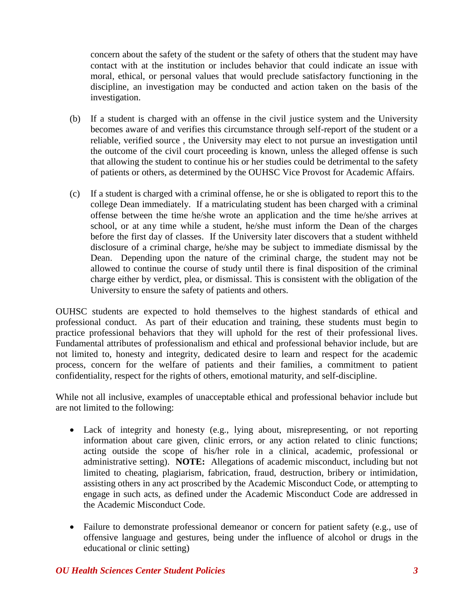concern about the safety of the student or the safety of others that the student may have contact with at the institution or includes behavior that could indicate an issue with moral, ethical, or personal values that would preclude satisfactory functioning in the discipline, an investigation may be conducted and action taken on the basis of the investigation.

- (b) If a student is charged with an offense in the civil justice system and the University becomes aware of and verifies this circumstance through self-report of the student or a reliable, verified source , the University may elect to not pursue an investigation until the outcome of the civil court proceeding is known, unless the alleged offense is such that allowing the student to continue his or her studies could be detrimental to the safety of patients or others, as determined by the OUHSC Vice Provost for Academic Affairs.
- (c) If a student is charged with a criminal offense, he or she is obligated to report this to the college Dean immediately. If a matriculating student has been charged with a criminal offense between the time he/she wrote an application and the time he/she arrives at school, or at any time while a student, he/she must inform the Dean of the charges before the first day of classes. If the University later discovers that a student withheld disclosure of a criminal charge, he/she may be subject to immediate dismissal by the Dean. Depending upon the nature of the criminal charge, the student may not be allowed to continue the course of study until there is final disposition of the criminal charge either by verdict, plea, or dismissal. This is consistent with the obligation of the University to ensure the safety of patients and others.

OUHSC students are expected to hold themselves to the highest standards of ethical and professional conduct. As part of their education and training, these students must begin to practice professional behaviors that they will uphold for the rest of their professional lives. Fundamental attributes of professionalism and ethical and professional behavior include, but are not limited to, honesty and integrity, dedicated desire to learn and respect for the academic process, concern for the welfare of patients and their families, a commitment to patient confidentiality, respect for the rights of others, emotional maturity, and self-discipline.

While not all inclusive, examples of unacceptable ethical and professional behavior include but are not limited to the following:

- Lack of integrity and honesty (e.g., lying about, misrepresenting, or not reporting information about care given, clinic errors, or any action related to clinic functions; acting outside the scope of his/her role in a clinical, academic, professional or administrative setting). **NOTE:** Allegations of academic misconduct, including but not limited to cheating, plagiarism, fabrication, fraud, destruction, bribery or intimidation, assisting others in any act proscribed by the Academic Misconduct Code, or attempting to engage in such acts, as defined under the Academic Misconduct Code are addressed in the Academic Misconduct Code.
- Failure to demonstrate professional demeanor or concern for patient safety (e.g., use of offensive language and gestures, being under the influence of alcohol or drugs in the educational or clinic setting)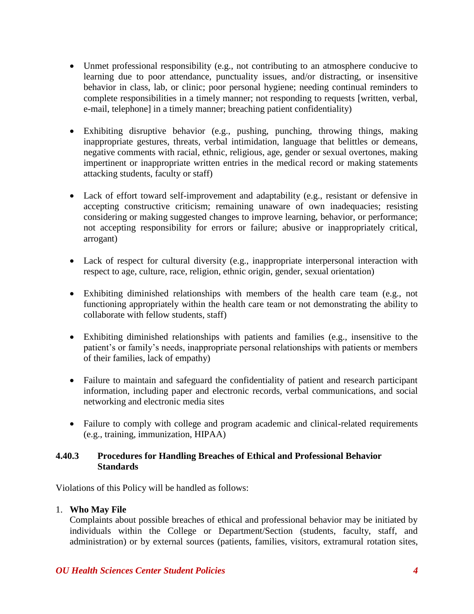- Unmet professional responsibility (e.g., not contributing to an atmosphere conducive to learning due to poor attendance, punctuality issues, and/or distracting, or insensitive behavior in class, lab, or clinic; poor personal hygiene; needing continual reminders to complete responsibilities in a timely manner; not responding to requests [written, verbal, e-mail, telephone] in a timely manner; breaching patient confidentiality)
- Exhibiting disruptive behavior (e.g., pushing, punching, throwing things, making inappropriate gestures, threats, verbal intimidation, language that belittles or demeans, negative comments with racial, ethnic, religious, age, gender or sexual overtones, making impertinent or inappropriate written entries in the medical record or making statements attacking students, faculty or staff)
- Lack of effort toward self-improvement and adaptability (e.g., resistant or defensive in accepting constructive criticism; remaining unaware of own inadequacies; resisting considering or making suggested changes to improve learning, behavior, or performance; not accepting responsibility for errors or failure; abusive or inappropriately critical, arrogant)
- Lack of respect for cultural diversity (e.g., inappropriate interpersonal interaction with respect to age, culture, race, religion, ethnic origin, gender, sexual orientation)
- Exhibiting diminished relationships with members of the health care team (e.g., not functioning appropriately within the health care team or not demonstrating the ability to collaborate with fellow students, staff)
- Exhibiting diminished relationships with patients and families (e.g., insensitive to the patient's or family's needs, inappropriate personal relationships with patients or members of their families, lack of empathy)
- Failure to maintain and safeguard the confidentiality of patient and research participant information, including paper and electronic records, verbal communications, and social networking and electronic media sites
- Failure to comply with college and program academic and clinical-related requirements (e.g., training, immunization, HIPAA)

## **4.40.3 Procedures for Handling Breaches of Ethical and Professional Behavior Standards**

Violations of this Policy will be handled as follows:

#### 1. **Who May File**

Complaints about possible breaches of ethical and professional behavior may be initiated by individuals within the College or Department/Section (students, faculty, staff, and administration) or by external sources (patients, families, visitors, extramural rotation sites,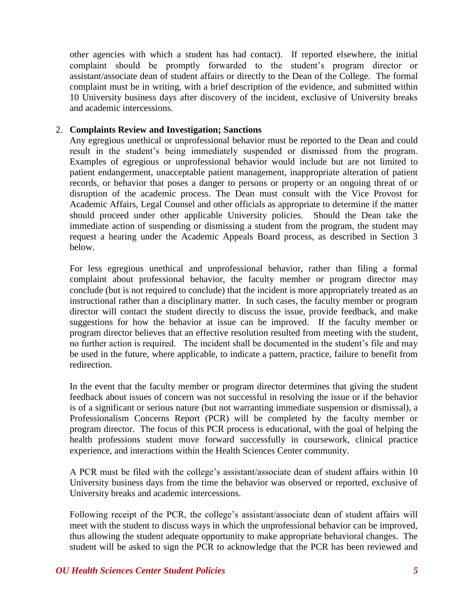other agencies with which a student has had contact). If reported elsewhere, the initial complaint should be promptly forwarded to the student's program director or assistant/associate dean of student affairs or directly to the Dean of the College. The formal complaint must be in writing, with a brief description of the evidence, and submitted within 10 University business days after discovery of the incident, exclusive of University breaks and academic intercessions.

### 2. **Complaints Review and Investigation; Sanctions**

Any egregious unethical or unprofessional behavior must be reported to the Dean and could result in the student's being immediately suspended or dismissed from the program. Examples of egregious or unprofessional behavior would include but are not limited to patient endangerment, unacceptable patient management, inappropriate alteration of patient records, or behavior that poses a danger to persons or property or an ongoing threat of or disruption of the academic process. The Dean must consult with the Vice Provost for Academic Affairs, Legal Counsel and other officials as appropriate to determine if the matter should proceed under other applicable University policies. Should the Dean take the immediate action of suspending or dismissing a student from the program, the student may request a hearing under the Academic Appeals Board process, as described in Section 3 below.

For less egregious unethical and unprofessional behavior, rather than filing a formal complaint about professional behavior, the faculty member or program director may conclude (but is not required to conclude) that the incident is more appropriately treated as an instructional rather than a disciplinary matter. In such cases, the faculty member or program director will contact the student directly to discuss the issue, provide feedback, and make suggestions for how the behavior at issue can be improved. If the faculty member or program director believes that an effective resolution resulted from meeting with the student, no further action is required. The incident shall be documented in the student's file and may be used in the future, where applicable, to indicate a pattern, practice, failure to benefit from redirection.

In the event that the faculty member or program director determines that giving the student feedback about issues of concern was not successful in resolving the issue or if the behavior is of a significant or serious nature (but not warranting immediate suspension or dismissal), a Professionalism Concerns Report (PCR) will be completed by the faculty member or program director. The focus of this PCR process is educational, with the goal of helping the health professions student move forward successfully in coursework, clinical practice experience, and interactions within the Health Sciences Center community.

A PCR must be filed with the college's assistant/associate dean of student affairs within 10 University business days from the time the behavior was observed or reported, exclusive of University breaks and academic intercessions.

Following receipt of the PCR, the college's assistant/associate dean of student affairs will meet with the student to discuss ways in which the unprofessional behavior can be improved, thus allowing the student adequate opportunity to make appropriate behavioral changes. The student will be asked to sign the PCR to acknowledge that the PCR has been reviewed and